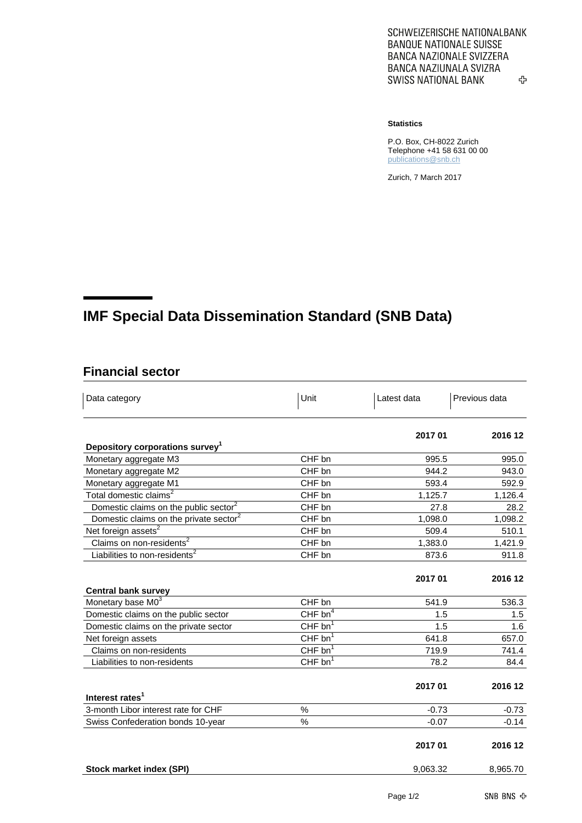SCHWEIZERISCHE NATIONALBANK **BANQUE NATIONALE SUISSE BANCA NAZIONALE SVIZZERA** BANCA NAZIUNALA SVIZRA **SWISS NATIONAL BANK** ♧

## **Statistics**

P.O. Box, CH-8022 Zurich Telephone +41 58 631 00 00 [publications@snb.ch](mailto:publications@snb.ch)

Zurich, 7 March 2017

## **IMF Special Data Dissemination Standard (SNB Data)**

## **Financial sector**

| Data category                                      | Unit                  | Latest data | Previous data |
|----------------------------------------------------|-----------------------|-------------|---------------|
|                                                    |                       | 2017 01     | 2016 12       |
| Depository corporations survey <sup>1</sup>        |                       |             |               |
| Monetary aggregate M3                              | CHF bn                | 995.5       | 995.0         |
| Monetary aggregate M2                              | CHF bn                | 944.2       | 943.0         |
| Monetary aggregate M1                              | CHF bn                | 593.4       | 592.9         |
| Total domestic claims <sup>2</sup>                 | CHF bn                | 1,125.7     | 1,126.4       |
| Domestic claims on the public sector <sup>2</sup>  | CHF bn                | 27.8        | 28.2          |
| Domestic claims on the private sector <sup>2</sup> | CHF bn                | 1,098.0     | 1,098.2       |
| Net foreign assets <sup>2</sup>                    | CHF bn                | 509.4       | 510.1         |
| Claims on non-residents <sup>2</sup>               | CHF bn                | 1,383.0     | 1,421.9       |
| Liabilities to non-residents <sup>2</sup>          | CHF bn                | 873.6       | 911.8         |
| <b>Central bank survey</b>                         |                       | 2017 01     | 2016 12       |
| Monetary base M03                                  | CHF bn                | 541.9       | 536.3         |
| Domestic claims on the public sector               | CHF $bn4$             | 1.5         | 1.5           |
| Domestic claims on the private sector              | $CHF$ bn <sup>1</sup> | 1.5         | 1.6           |
| Net foreign assets                                 | $CHF$ bn <sup>1</sup> | 641.8       | 657.0         |
| Claims on non-residents                            | $CHF$ bn <sup>1</sup> | 719.9       | 741.4         |
| Liabilities to non-residents                       | $CHF$ bn <sup>1</sup> | 78.2        | 84.4          |
| Interest rates <sup>1</sup>                        |                       | 2017 01     | 2016 12       |
| 3-month Libor interest rate for CHF                | %                     | $-0.73$     | $-0.73$       |
| Swiss Confederation bonds 10-year                  | $\%$                  | $-0.07$     | $-0.14$       |
|                                                    |                       | 2017 01     | 2016 12       |
| Stock market index (SPI)                           |                       | 9,063.32    | 8,965.70      |